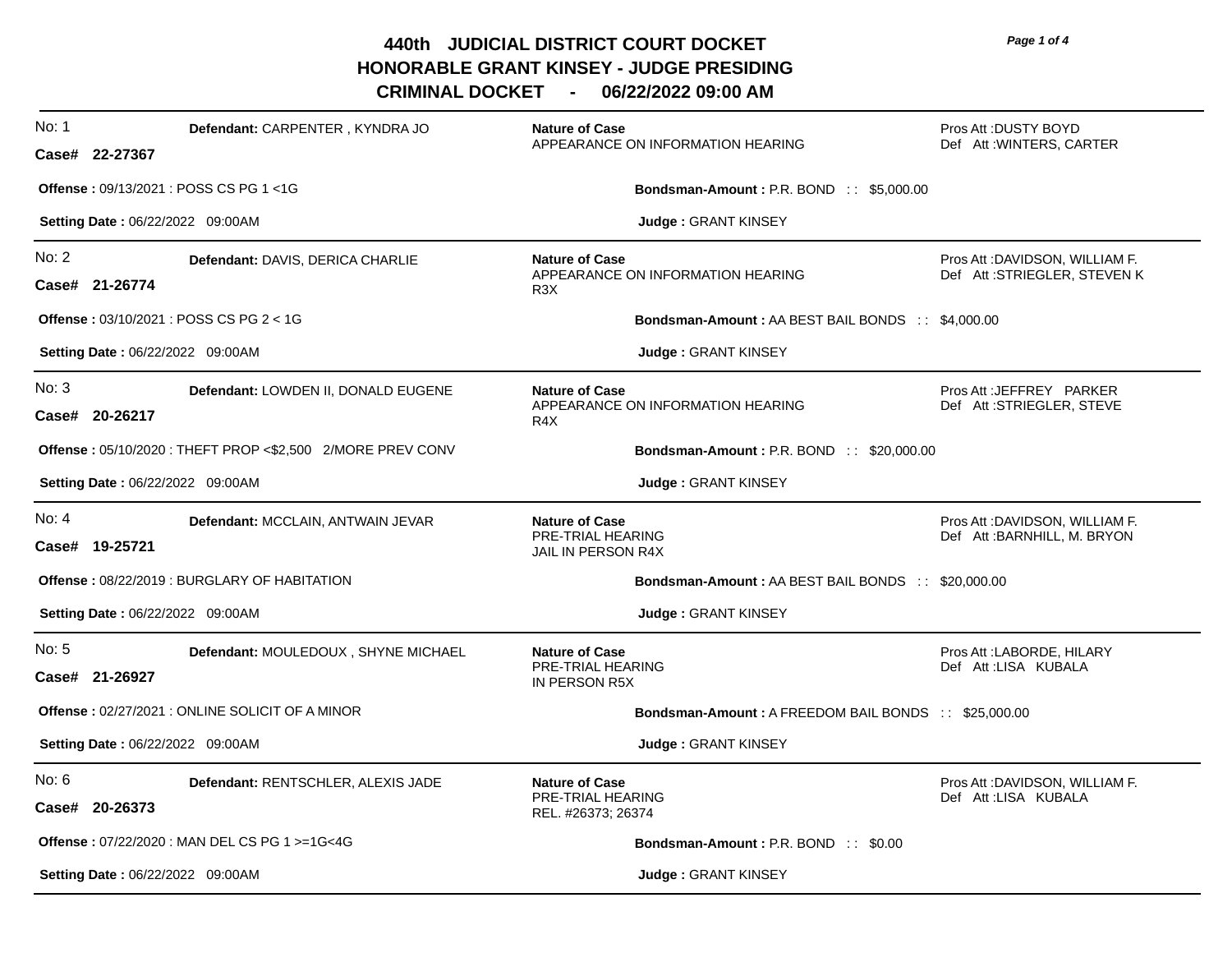**440th JUDICIAL DISTRICT COURT DOCKET HONORABLE GRANT KINSEY - JUDGE PRESIDING** 

**CRIMINAL DOCKET - 06/22/2022 09:00 AM**

| No: 1 | Defendant: CARPENTER, KYNDRA JO                               | <b>Nature of Case</b><br>APPEARANCE ON INFORMATION HEARING                     | Pros Att : DUSTY BOYD<br>Def Att: WINTERS, CARTER               |
|-------|---------------------------------------------------------------|--------------------------------------------------------------------------------|-----------------------------------------------------------------|
|       | Case# 22-27367                                                |                                                                                |                                                                 |
|       | <b>Offense: 09/13/2021: POSS CS PG 1&lt;1G</b>                | <b>Bondsman-Amount: P.R. BOND:: \$5,000.00</b>                                 |                                                                 |
|       | Setting Date: 06/22/2022 09:00AM                              | Judge: GRANT KINSEY                                                            |                                                                 |
| No: 2 | Defendant: DAVIS, DERICA CHARLIE<br>Case# 21-26774            | <b>Nature of Case</b><br>APPEARANCE ON INFORMATION HEARING<br>R <sub>3</sub> X | Pros Att : DAVIDSON, WILLIAM F.<br>Def Att:STRIEGLER, STEVEN K  |
|       | <b>Offense: <math>03/10/2021</math>: POSS CS PG 2 &lt; 1G</b> | <b>Bondsman-Amount: AA BEST BAIL BONDS :: \$4,000.00</b>                       |                                                                 |
|       | Setting Date: 06/22/2022 09:00AM                              | Judge: GRANT KINSEY                                                            |                                                                 |
| No: 3 | Defendant: LOWDEN II, DONALD EUGENE<br>Case# 20-26217         | <b>Nature of Case</b><br>APPEARANCE ON INFORMATION HEARING<br>R <sub>4</sub> X | Pros Att : JEFFREY PARKER<br>Def Att: STRIEGLER, STEVE          |
|       | Offense: 05/10/2020: THEFT PROP <\$2,500 2/MORE PREV CONV     | <b>Bondsman-Amount: P.R. BOND:: \$20,000.00</b>                                |                                                                 |
|       | Setting Date: 06/22/2022 09:00AM                              | Judge: GRANT KINSEY                                                            |                                                                 |
| No: 4 | Defendant: MCCLAIN, ANTWAIN JEVAR<br>Case# 19-25721           | <b>Nature of Case</b><br>PRE-TRIAL HEARING<br>JAIL IN PERSON R4X               | Pros Att : DAVIDSON, WILLIAM F.<br>Def Att : BARNHILL, M. BRYON |
|       | Offense: 08/22/2019 : BURGLARY OF HABITATION                  | <b>Bondsman-Amount: AA BEST BAIL BONDS :: \$20,000.00</b>                      |                                                                 |
|       | Setting Date: 06/22/2022 09:00AM                              | <b>Judge: GRANT KINSEY</b>                                                     |                                                                 |
| No: 5 | Defendant: MOULEDOUX, SHYNE MICHAEL<br>Case# 21-26927         | <b>Nature of Case</b><br>PRE-TRIAL HEARING<br>IN PERSON R5X                    | Pros Att : LABORDE, HILARY<br>Def Att:LISA KUBALA               |
|       | Offense: 02/27/2021 : ONLINE SOLICIT OF A MINOR               | Bondsman-Amount: A FREEDOM BAIL BONDS :: \$25,000.00                           |                                                                 |
|       | Setting Date: 06/22/2022 09:00AM                              | Judge: GRANT KINSEY                                                            |                                                                 |
| No: 6 | Defendant: RENTSCHLER, ALEXIS JADE<br>Case# 20-26373          | <b>Nature of Case</b><br>PRE-TRIAL HEARING<br>REL. #26373; 26374               | Pros Att : DAVIDSON, WILLIAM F.<br>Def Att:LISA KUBALA          |
|       | <b>Offense: 07/22/2020: MAN DEL CS PG 1 &gt;=1G&lt;4G</b>     | <b>Bondsman-Amount: P.R. BOND:: \$0.00</b>                                     |                                                                 |
|       | Setting Date: 06/22/2022 09:00AM                              | Judge: GRANT KINSEY                                                            |                                                                 |

*Page 1 of 4*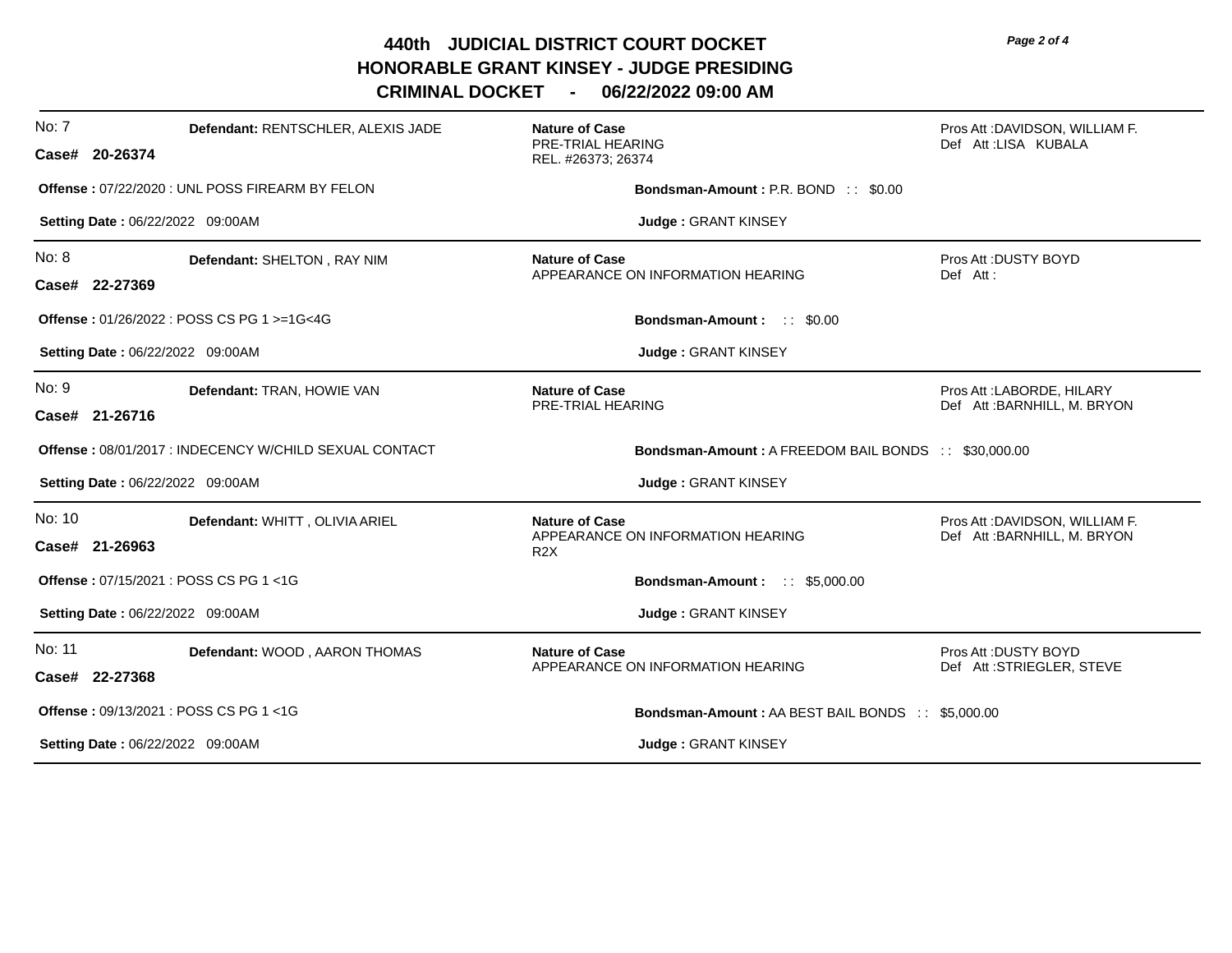**440th JUDICIAL DISTRICT COURT DOCKET HONORABLE GRANT KINSEY - JUDGE PRESIDING** 

**CRIMINAL DOCKET - 06/22/2022 09:00 AM**

| No: 7  | Defendant: RENTSCHLER, ALEXIS JADE<br>Case# 20-26374   | <b>Nature of Case</b><br>PRE-TRIAL HEARING<br>REL. #26373; 26374               | Pros Att :DAVIDSON, WILLIAM F.<br>Def Att:LISA KUBALA           |
|--------|--------------------------------------------------------|--------------------------------------------------------------------------------|-----------------------------------------------------------------|
|        | Offense: 07/22/2020 : UNL POSS FIREARM BY FELON        | <b>Bondsman-Amount: P.R. BOND:: \$0.00</b>                                     |                                                                 |
|        | Setting Date: 06/22/2022 09:00AM                       | Judge: GRANT KINSEY                                                            |                                                                 |
| No: 8  | Defendant: SHELTON, RAY NIM<br>Case# 22-27369          | <b>Nature of Case</b><br>APPEARANCE ON INFORMATION HEARING                     | Pros Att: DUSTY BOYD<br>Def Att:                                |
|        | Offense: 01/26/2022 : POSS CS PG 1 >=1G<4G             | <b>Bondsman-Amount: :: \$0.00</b>                                              |                                                                 |
|        | Setting Date: 06/22/2022 09:00AM                       | Judge: GRANT KINSEY                                                            |                                                                 |
| No: 9  | Defendant: TRAN, HOWIE VAN<br>Case# 21-26716           | <b>Nature of Case</b><br>PRE-TRIAL HEARING                                     | Pros Att : LABORDE, HILARY<br>Def Att: BARNHILL, M. BRYON       |
|        | Offense: 08/01/2017 : INDECENCY W/CHILD SEXUAL CONTACT | Bondsman-Amount: A FREEDOM BAIL BONDS :: \$30,000.00                           |                                                                 |
|        | Setting Date: 06/22/2022 09:00AM                       | Judge: GRANT KINSEY                                                            |                                                                 |
| No: 10 | Defendant: WHITT, OLIVIA ARIEL<br>Case# 21-26963       | <b>Nature of Case</b><br>APPEARANCE ON INFORMATION HEARING<br>R <sub>2</sub> X | Pros Att : DAVIDSON, WILLIAM F.<br>Def Att : BARNHILL, M. BRYON |
|        | Offense: 07/15/2021 : POSS CS PG 1 <1G                 | <b>Bondsman-Amount: :: \$5,000.00</b>                                          |                                                                 |
|        | Setting Date: 06/22/2022 09:00AM                       | Judge: GRANT KINSEY                                                            |                                                                 |
| No: 11 | Defendant: WOOD, AARON THOMAS<br>Case# 22-27368        | <b>Nature of Case</b><br>APPEARANCE ON INFORMATION HEARING                     | Pros Att: DUSTY BOYD<br>Def Att: STRIEGLER, STEVE               |
|        | Offense: 09/13/2021 : POSS CS PG 1 <1G                 | <b>Bondsman-Amount: AA BEST BAIL BONDS :: \$5,000.00</b>                       |                                                                 |
|        | <b>Setting Date: 06/22/2022 09:00AM</b>                | <b>Judge: GRANT KINSEY</b>                                                     |                                                                 |

*Page 2 of 4*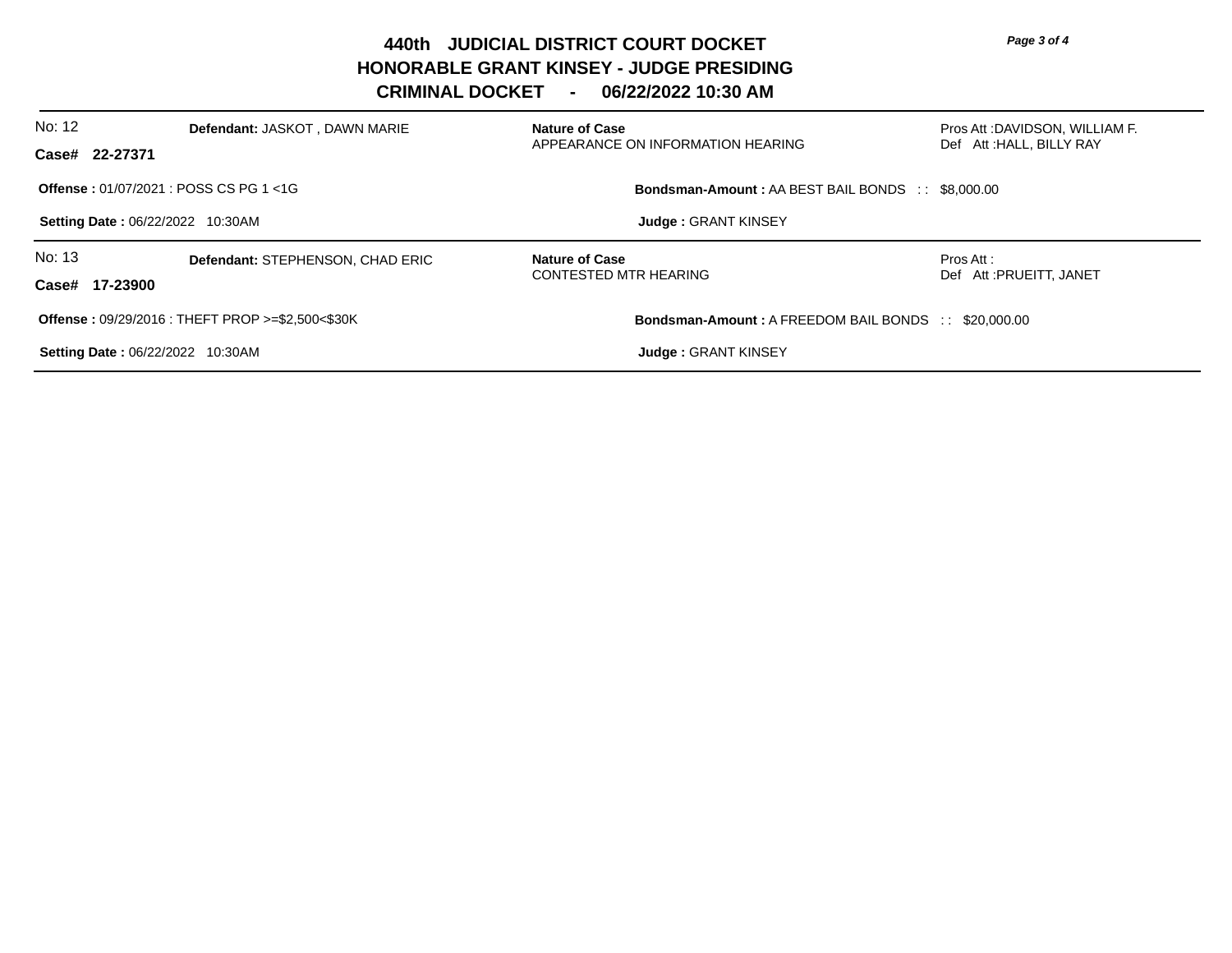**440th JUDICIAL DISTRICT COURT DOCKET HONORABLE GRANT KINSEY - JUDGE PRESIDING** 

**CRIMINAL DOCKET - 06/22/2022 10:30 AM**

| No: 12                                  | Defendant: JASKOT, DAWN MARIE                                | <b>Nature of Case</b>                                    | Pros Att :DAVIDSON, WILLIAM F.                              |
|-----------------------------------------|--------------------------------------------------------------|----------------------------------------------------------|-------------------------------------------------------------|
| Case# 22-27371                          |                                                              | APPEARANCE ON INFORMATION HEARING                        | Def Att: HALL, BILLY RAY                                    |
|                                         | Offense: 01/07/2021 : POSS CS PG 1 <1G                       | <b>Bondsman-Amount: AA BEST BAIL BONDS :: \$8,000.00</b> |                                                             |
| <b>Setting Date: 06/22/2022 10:30AM</b> |                                                              | <b>Judge: GRANT KINSEY</b>                               |                                                             |
| No: 13                                  | Defendant: STEPHENSON, CHAD ERIC                             | <b>Nature of Case</b>                                    | Pros Att:                                                   |
| Case# 17-23900                          |                                                              | <b>CONTESTED MTR HEARING</b>                             | Def Att: PRUEITT, JANET                                     |
|                                         | <b>Offense: 09/29/2016: THEFT PROP &gt;=\$2,500&lt;\$30K</b> |                                                          | <b>Bondsman-Amount: A FREEDOM BAIL BONDS :: \$20,000.00</b> |
|                                         | <b>Setting Date: 06/22/2022 10:30AM</b>                      | <b>Judge: GRANT KINSEY</b>                               |                                                             |

*Page 3 of 4*